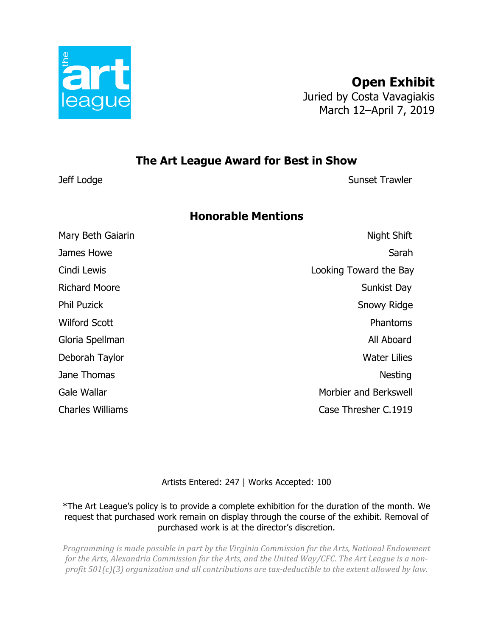

**Open Exhibit** Juried by Costa Vavagiakis March 12–April 7, 2019

# **The Art League Award for Best in Show**

Jeff Lodge **Sunset Trawler** 

# **Honorable Mentions**

Mary Beth Gaiarin Night Shift Shift Shift Shift Shift Shift Shift Shift Shift Shift Shift Shift Shift Shift Shift Shift Shift Shift Shift Shift Shift Shift Shift Shift Shift Shift Shift Shift Shift Shift Shift Shift Shift James Howe Sarah National Accounts and the Sarah Sarah Sarah Sarah Sarah Sarah Sarah Sarah Sarah Sarah Sarah S Cindi Lewis Looking Toward the Bay Richard Moore Sunkist Day Phil Puzick Snowy Ridge Wilford Scott **Phantoms** Gloria Spellman **All Aboard** All Aboard Deborah Taylor Water Lilies Jane Thomas Nesting Nesting and the state of the state of the state of the state of the state of the state of the state of the state of the state of the state of the state of the state of the state of the state of the stat Gale Wallar **Morbier and Berkswell** Charles Williams Case Thresher C.1919

Artists Entered: 247 | Works Accepted: 100

\*The Art League's policy is to provide a complete exhibition for the duration of the month. We request that purchased work remain on display through the course of the exhibit. Removal of purchased work is at the director's discretion.

*Programming is made possible in part by the Virginia Commission for the Arts, National Endowment* for the Arts, Alexandria Commission for the Arts, and the United Way/CFC. The Art League is a non*profit* 501(c)(3) organization and all contributions are tax-deductible to the extent allowed by law.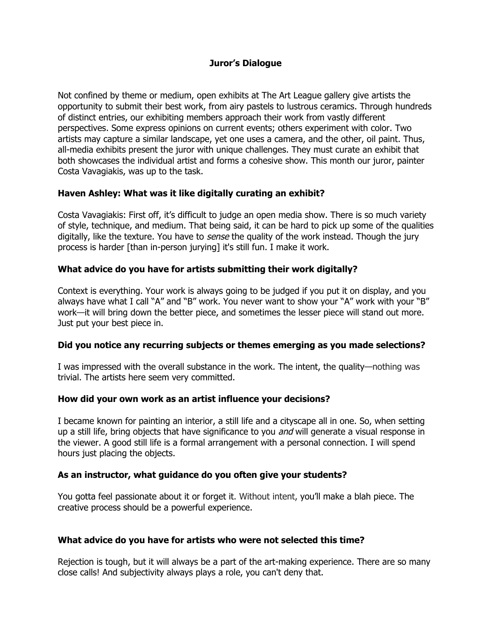## **Juror's Dialogue**

Not confined by theme or medium, open exhibits at The Art League gallery give artists the opportunity to submit their best work, from airy pastels to lustrous ceramics. Through hundreds of distinct entries, our exhibiting members approach their work from vastly different perspectives. Some express opinions on current events; others experiment with color. Two artists may capture a similar landscape, yet one uses a camera, and the other, oil paint. Thus, all-media exhibits present the juror with unique challenges. They must curate an exhibit that both showcases the individual artist and forms a cohesive show. This month our juror, painter Costa Vavagiakis, was up to the task.

### **Haven Ashley: What was it like digitally curating an exhibit?**

Costa Vavagiakis: First off, it's difficult to judge an open media show. There is so much variety of style, technique, and medium. That being said, it can be hard to pick up some of the qualities digitally, like the texture. You have to *sense* the quality of the work instead. Though the jury process is harder [than in-person jurying] it's still fun. I make it work.

## **What advice do you have for artists submitting their work digitally?**

Context is everything. Your work is always going to be judged if you put it on display, and you always have what I call "A" and "B" work. You never want to show your "A" work with your "B" work—it will bring down the better piece, and sometimes the lesser piece will stand out more. Just put your best piece in.

## **Did you notice any recurring subjects or themes emerging as you made selections?**

I was impressed with the overall substance in the work. The intent, the quality—nothing was trivial. The artists here seem very committed.

### **How did your own work as an artist influence your decisions?**

I became known for painting an interior, a still life and a cityscape all in one. So, when setting up a still life, bring objects that have significance to you and will generate a visual response in the viewer. A good still life is a formal arrangement with a personal connection. I will spend hours just placing the objects.

### **As an instructor, what guidance do you often give your students?**

You gotta feel passionate about it or forget it. Without intent, you'll make a blah piece. The creative process should be a powerful experience.

### **What advice do you have for artists who were not selected this time?**

Rejection is tough, but it will always be a part of the art-making experience. There are so many close calls! And subjectivity always plays a role, you can't deny that.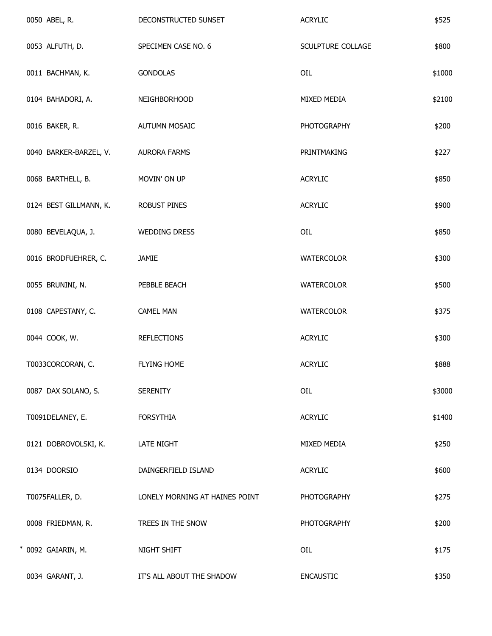| 0050 ABEL, R.          | DECONSTRUCTED SUNSET           | <b>ACRYLIC</b>     | \$525  |
|------------------------|--------------------------------|--------------------|--------|
| 0053 ALFUTH, D.        | SPECIMEN CASE NO. 6            | SCULPTURE COLLAGE  | \$800  |
| 0011 BACHMAN, K.       | <b>GONDOLAS</b>                | OIL                | \$1000 |
| 0104 BAHADORI, A.      | NEIGHBORHOOD                   | MIXED MEDIA        | \$2100 |
| 0016 BAKER, R.         | <b>AUTUMN MOSAIC</b>           | <b>PHOTOGRAPHY</b> | \$200  |
| 0040 BARKER-BARZEL, V. | <b>AURORA FARMS</b>            | PRINTMAKING        | \$227  |
| 0068 BARTHELL, B.      | MOVIN' ON UP                   | <b>ACRYLIC</b>     | \$850  |
| 0124 BEST GILLMANN, K. | <b>ROBUST PINES</b>            | <b>ACRYLIC</b>     | \$900  |
| 0080 BEVELAQUA, J.     | <b>WEDDING DRESS</b>           | OIL                | \$850  |
| 0016 BRODFUEHRER, C.   | JAMIE                          | WATERCOLOR         | \$300  |
| 0055 BRUNINI, N.       | PEBBLE BEACH                   | <b>WATERCOLOR</b>  | \$500  |
| 0108 CAPESTANY, C.     | <b>CAMEL MAN</b>               | WATERCOLOR         | \$375  |
| 0044 COOK, W.          | <b>REFLECTIONS</b>             | <b>ACRYLIC</b>     | \$300  |
| T0033CORCORAN, C.      | <b>FLYING HOME</b>             | <b>ACRYLIC</b>     | \$888  |
| 0087 DAX SOLANO, S.    | <b>SERENITY</b>                | OIL                | \$3000 |
| T0091DELANEY, E.       | <b>FORSYTHIA</b>               | <b>ACRYLIC</b>     | \$1400 |
| 0121 DOBROVOLSKI, K.   | <b>LATE NIGHT</b>              | MIXED MEDIA        | \$250  |
| 0134 DOORSIO           | DAINGERFIELD ISLAND            | <b>ACRYLIC</b>     | \$600  |
| T0075FALLER, D.        | LONELY MORNING AT HAINES POINT | <b>PHOTOGRAPHY</b> | \$275  |
| 0008 FRIEDMAN, R.      | TREES IN THE SNOW              | <b>PHOTOGRAPHY</b> | \$200  |
| * 0092 GAIARIN, M.     | NIGHT SHIFT                    | OIL                | \$175  |
| 0034 GARANT, J.        | IT'S ALL ABOUT THE SHADOW      | <b>ENCAUSTIC</b>   | \$350  |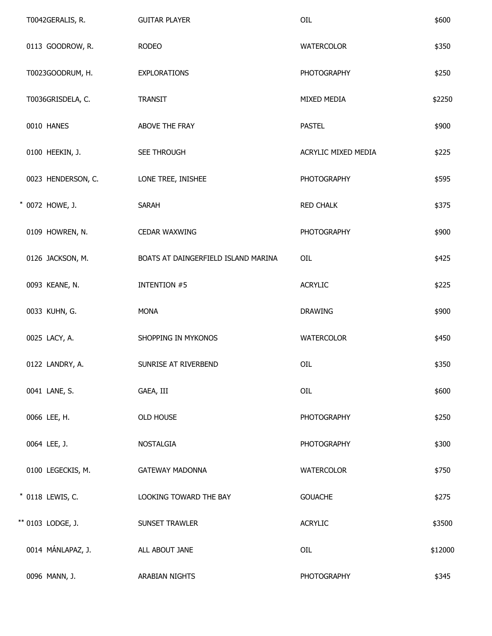| T0042GERALIS, R.   | <b>GUITAR PLAYER</b>                | OIL                 | \$600   |
|--------------------|-------------------------------------|---------------------|---------|
| 0113 GOODROW, R.   | <b>RODEO</b>                        | <b>WATERCOLOR</b>   | \$350   |
| T0023GOODRUM, H.   | <b>EXPLORATIONS</b>                 | <b>PHOTOGRAPHY</b>  | \$250   |
| T0036GRISDELA, C.  | <b>TRANSIT</b>                      | MIXED MEDIA         | \$2250  |
| 0010 HANES         | ABOVE THE FRAY                      | <b>PASTEL</b>       | \$900   |
| 0100 HEEKIN, J.    | SEE THROUGH                         | ACRYLIC MIXED MEDIA | \$225   |
| 0023 HENDERSON, C. | LONE TREE, INISHEE                  | <b>PHOTOGRAPHY</b>  | \$595   |
| * 0072 HOWE, J.    | <b>SARAH</b>                        | <b>RED CHALK</b>    | \$375   |
| 0109 HOWREN, N.    | <b>CEDAR WAXWING</b>                | <b>PHOTOGRAPHY</b>  | \$900   |
| 0126 JACKSON, M.   | BOATS AT DAINGERFIELD ISLAND MARINA | OIL                 | \$425   |
| 0093 KEANE, N.     | <b>INTENTION #5</b>                 | <b>ACRYLIC</b>      | \$225   |
| 0033 KUHN, G.      | <b>MONA</b>                         | <b>DRAWING</b>      | \$900   |
| 0025 LACY, A.      | SHOPPING IN MYKONOS                 | <b>WATERCOLOR</b>   | \$450   |
| 0122 LANDRY, A.    | SUNRISE AT RIVERBEND                | OIL                 | \$350   |
| 0041 LANE, S.      | GAEA, III                           | OIL                 | \$600   |
| 0066 LEE, H.       | OLD HOUSE                           | <b>PHOTOGRAPHY</b>  | \$250   |
| 0064 LEE, J.       | <b>NOSTALGIA</b>                    | <b>PHOTOGRAPHY</b>  | \$300   |
| 0100 LEGECKIS, M.  | <b>GATEWAY MADONNA</b>              | <b>WATERCOLOR</b>   | \$750   |
| * 0118 LEWIS, C.   | LOOKING TOWARD THE BAY              | <b>GOUACHE</b>      | \$275   |
| ** 0103 LODGE, J.  | SUNSET TRAWLER                      | <b>ACRYLIC</b>      | \$3500  |
| 0014 MÁNLAPAZ, J.  | ALL ABOUT JANE                      | OIL                 | \$12000 |
| 0096 MANN, J.      | ARABIAN NIGHTS                      | <b>PHOTOGRAPHY</b>  | \$345   |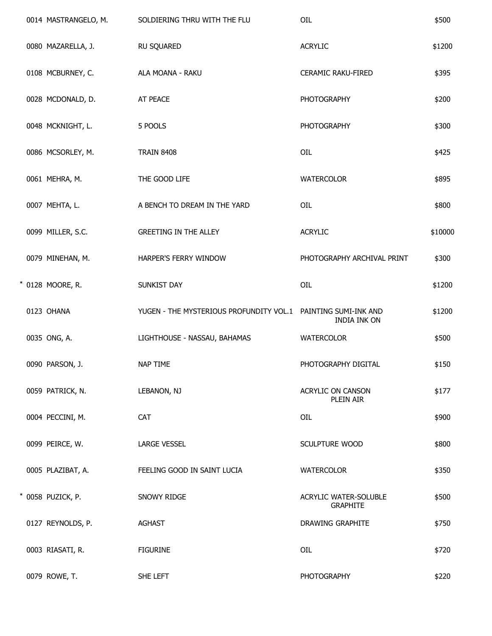|  | 0014 MASTRANGELO, M. | SOLDIERING THRU WITH THE FLU                                  | OIL                                             | \$500   |
|--|----------------------|---------------------------------------------------------------|-------------------------------------------------|---------|
|  | 0080 MAZARELLA, J.   | RU SQUARED                                                    | <b>ACRYLIC</b>                                  | \$1200  |
|  | 0108 MCBURNEY, C.    | ALA MOANA - RAKU                                              | <b>CERAMIC RAKU-FIRED</b>                       | \$395   |
|  | 0028 MCDONALD, D.    | AT PEACE                                                      | <b>PHOTOGRAPHY</b>                              | \$200   |
|  | 0048 MCKNIGHT, L.    | 5 POOLS                                                       | <b>PHOTOGRAPHY</b>                              | \$300   |
|  | 0086 MCSORLEY, M.    | <b>TRAIN 8408</b>                                             | OIL                                             | \$425   |
|  | 0061 MEHRA, M.       | THE GOOD LIFE                                                 | <b>WATERCOLOR</b>                               | \$895   |
|  | 0007 MEHTA, L.       | A BENCH TO DREAM IN THE YARD                                  | OIL                                             | \$800   |
|  | 0099 MILLER, S.C.    | <b>GREETING IN THE ALLEY</b>                                  | <b>ACRYLIC</b>                                  | \$10000 |
|  | 0079 MINEHAN, M.     | HARPER'S FERRY WINDOW                                         | PHOTOGRAPHY ARCHIVAL PRINT                      | \$300   |
|  | * 0128 MOORE, R.     | SUNKIST DAY                                                   | OIL                                             | \$1200  |
|  | 0123 OHANA           | YUGEN - THE MYSTERIOUS PROFUNDITY VOL.1 PAINTING SUMI-INK AND | INDIA INK ON                                    | \$1200  |
|  | 0035 ONG, A.         | LIGHTHOUSE - NASSAU, BAHAMAS                                  | <b>WATERCOLOR</b>                               | \$500   |
|  | 0090 PARSON, J.      | <b>NAP TIME</b>                                               | PHOTOGRAPHY DIGITAL                             | \$150   |
|  | 0059 PATRICK, N.     | LEBANON, NJ                                                   | ACRYLIC ON CANSON<br>PLEIN AIR                  | \$177   |
|  | 0004 PECCINI, M.     | CAT                                                           | OIL                                             | \$900   |
|  | 0099 PEIRCE, W.      | <b>LARGE VESSEL</b>                                           | SCULPTURE WOOD                                  | \$800   |
|  | 0005 PLAZIBAT, A.    | FEELING GOOD IN SAINT LUCIA                                   | <b>WATERCOLOR</b>                               | \$350   |
|  | * 0058 PUZICK, P.    | SNOWY RIDGE                                                   | <b>ACRYLIC WATER-SOLUBLE</b><br><b>GRAPHITE</b> | \$500   |
|  | 0127 REYNOLDS, P.    | <b>AGHAST</b>                                                 | DRAWING GRAPHITE                                | \$750   |
|  | 0003 RIASATI, R.     | <b>FIGURINE</b>                                               | OIL                                             | \$720   |
|  | 0079 ROWE, T.        | SHE LEFT                                                      | <b>PHOTOGRAPHY</b>                              | \$220   |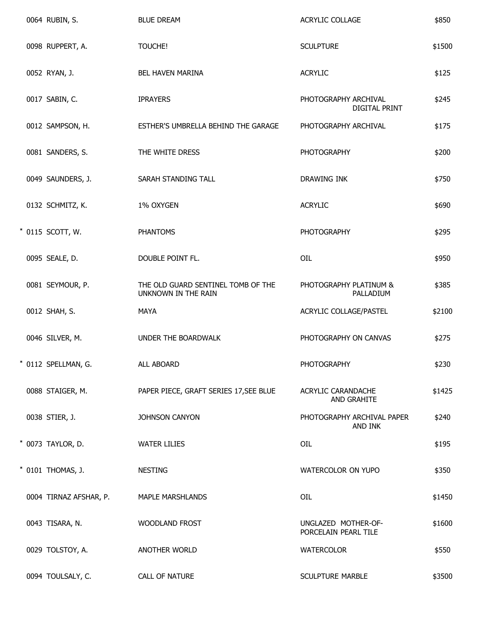|  | 0064 RUBIN, S.         | <b>BLUE DREAM</b>                                         | ACRYLIC COLLAGE                              | \$850  |
|--|------------------------|-----------------------------------------------------------|----------------------------------------------|--------|
|  | 0098 RUPPERT, A.       | TOUCHE!                                                   | <b>SCULPTURE</b>                             | \$1500 |
|  | 0052 RYAN, J.          | <b>BEL HAVEN MARINA</b>                                   | <b>ACRYLIC</b>                               | \$125  |
|  | 0017 SABIN, C.         | <b>IPRAYERS</b>                                           | PHOTOGRAPHY ARCHIVAL<br><b>DIGITAL PRINT</b> | \$245  |
|  | 0012 SAMPSON, H.       | ESTHER'S UMBRELLA BEHIND THE GARAGE                       | PHOTOGRAPHY ARCHIVAL                         | \$175  |
|  | 0081 SANDERS, S.       | THE WHITE DRESS                                           | <b>PHOTOGRAPHY</b>                           | \$200  |
|  | 0049 SAUNDERS, J.      | SARAH STANDING TALL                                       | DRAWING INK                                  | \$750  |
|  | 0132 SCHMITZ, K.       | 1% OXYGEN                                                 | <b>ACRYLIC</b>                               | \$690  |
|  | * 0115 SCOTT, W.       | <b>PHANTOMS</b>                                           | <b>PHOTOGRAPHY</b>                           | \$295  |
|  | 0095 SEALE, D.         | DOUBLE POINT FL.                                          | OIL                                          | \$950  |
|  | 0081 SEYMOUR, P.       | THE OLD GUARD SENTINEL TOMB OF THE<br>UNKNOWN IN THE RAIN | PHOTOGRAPHY PLATINUM &<br>PALLADIUM          | \$385  |
|  | 0012 SHAH, S.          | <b>MAYA</b>                                               | ACRYLIC COLLAGE/PASTEL                       | \$2100 |
|  | 0046 SILVER, M.        | UNDER THE BOARDWALK                                       | PHOTOGRAPHY ON CANVAS                        | \$275  |
|  | * 0112 SPELLMAN, G.    | ALL ABOARD                                                | <b>PHOTOGRAPHY</b>                           | \$230  |
|  | 0088 STAIGER, M.       | PAPER PIECE, GRAFT SERIES 17, SEE BLUE                    | ACRYLIC CARANDACHE<br>AND GRAHITE            | \$1425 |
|  | 0038 STIER, J.         | JOHNSON CANYON                                            | PHOTOGRAPHY ARCHIVAL PAPER<br>AND INK        | \$240  |
|  | * 0073 TAYLOR, D.      | <b>WATER LILIES</b>                                       | OIL                                          | \$195  |
|  | * 0101 THOMAS, J.      | <b>NESTING</b>                                            | WATERCOLOR ON YUPO                           | \$350  |
|  | 0004 TIRNAZ AFSHAR, P. | MAPLE MARSHLANDS                                          | OIL                                          | \$1450 |
|  | 0043 TISARA, N.        | <b>WOODLAND FROST</b>                                     | UNGLAZED MOTHER-OF-<br>PORCELAIN PEARL TILE  | \$1600 |
|  | 0029 TOLSTOY, A.       | ANOTHER WORLD                                             | <b>WATERCOLOR</b>                            | \$550  |
|  | 0094 TOULSALY, C.      | <b>CALL OF NATURE</b>                                     | <b>SCULPTURE MARBLE</b>                      | \$3500 |